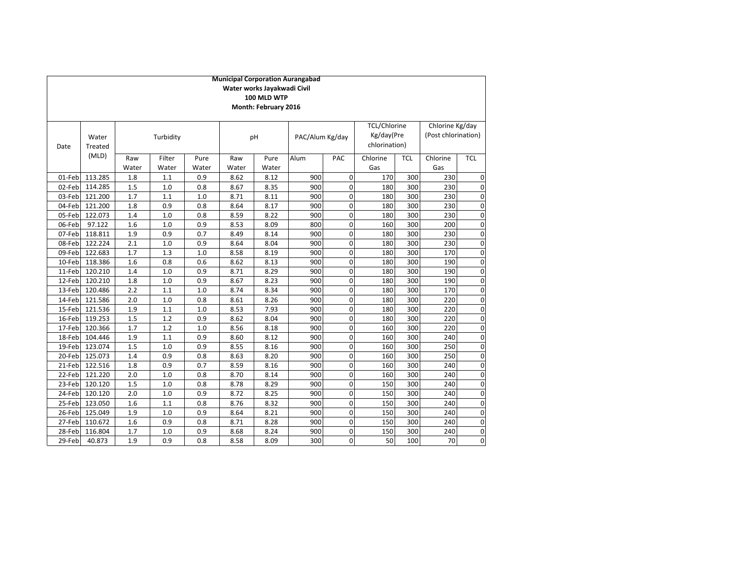|        |                  |              |                 |               |              | Water works Jayakwadi Civil<br>100 MLD WTP<br>Month: February 2016 | <b>Municipal Corporation Aurangabad</b> |             |                                                    |            |                                        |             |
|--------|------------------|--------------|-----------------|---------------|--------------|--------------------------------------------------------------------|-----------------------------------------|-------------|----------------------------------------------------|------------|----------------------------------------|-------------|
| Date   | Water<br>Treated |              | Turbidity       |               |              | pH                                                                 | PAC/Alum Kg/day                         |             | <b>TCL/Chlorine</b><br>Kg/day(Pre<br>chlorination) |            | Chlorine Kg/day<br>(Post chlorination) |             |
|        | (MLD)            | Raw<br>Water | Filter<br>Water | Pure<br>Water | Raw<br>Water | Pure<br>Water                                                      | Alum                                    | PAC         | Chlorine<br>Gas                                    | <b>TCL</b> | Chlorine<br>Gas                        | <b>TCL</b>  |
| 01-Feb | 113.285          | 1.8          | 1.1             | 0.9           | 8.62         | 8.12                                                               | 900                                     | 0           | 170                                                | 300        | 230                                    | $\mathbf 0$ |
| 02-Feb | 114.285          | 1.5          | 1.0             | 0.8           | 8.67         | 8.35                                                               | 900                                     | $\Omega$    | 180                                                | 300        | 230                                    | 0           |
| 03-Feb | 121.200          | 1.7          | 1.1             | 1.0           | 8.71         | 8.11                                                               | 900                                     | 0           | 180                                                | 300        | 230                                    | 0           |
| 04-Feb | 121.200          | 1.8          | 0.9             | 0.8           | 8.64         | 8.17                                                               | 900                                     | 0           | 180                                                | 300        | 230                                    | 0           |
| 05-Feb | 122.073          | 1.4          | 1.0             | 0.8           | 8.59         | 8.22                                                               | 900                                     | $\mathbf 0$ | 180                                                | 300        | 230                                    | $\mathbf 0$ |
| 06-Feb | 97.122           | 1.6          | 1.0             | 0.9           | 8.53         | 8.09                                                               | 800                                     | $\mathbf 0$ | 160                                                | 300        | 200                                    | 0           |
| 07-Feb | 118.811          | 1.9          | 0.9             | 0.7           | 8.49         | 8.14                                                               | 900                                     | 0           | 180                                                | 300        | 230                                    | 0           |
| 08-Feb | 122.224          | 2.1          | 1.0             | 0.9           | 8.64         | 8.04                                                               | 900                                     | $\mathbf 0$ | 180                                                | 300        | 230                                    | 0           |
| 09-Feb | 122.683          | 1.7          | 1.3             | $1.0$         | 8.58         | 8.19                                                               | 900                                     | $\mathbf 0$ | 180                                                | 300        | 170                                    | 0           |
| 10-Feb | 118.386          | 1.6          | 0.8             | 0.6           | 8.62         | 8.13                                                               | 900                                     | $\mathbf 0$ | 180                                                | 300        | 190                                    | $\mathbf 0$ |
| 11-Feb | 120.210          | 1.4          | 1.0             | 0.9           | 8.71         | 8.29                                                               | 900                                     | 0           | 180                                                | 300        | 190                                    | $\mathbf 0$ |
| 12-Feb | 120.210          | 1.8          | 1.0             | 0.9           | 8.67         | 8.23                                                               | 900                                     | 0           | 180                                                | 300        | 190                                    | 0           |
| 13-Feb | 120.486          | 2.2          | 1.1             | 1.0           | 8.74         | 8.34                                                               | 900                                     | 0           | 180                                                | 300        | 170                                    | 0           |
| 14-Feb | 121.586          | 2.0          | 1.0             | 0.8           | 8.61         | 8.26                                                               | 900                                     | $\mathbf 0$ | 180                                                | 300        | 220                                    | 0           |
| 15-Feb | 121.536          | 1.9          | 1.1             | 1.0           | 8.53         | 7.93                                                               | 900                                     | $\Omega$    | 180                                                | 300        | 220                                    | 0           |
| 16-Feb | 119.253          | 1.5          | 1.2             | 0.9           | 8.62         | 8.04                                                               | 900                                     | $\Omega$    | 180                                                | 300        | 220                                    | 0           |
| 17-Feb | 120.366          | 1.7          | 1.2             | 1.0           | 8.56         | 8.18                                                               | 900                                     | $\mathbf 0$ | 160                                                | 300        | 220                                    | 0           |
| 18-Feb | 104.446          | 1.9          | 1.1             | 0.9           | 8.60         | 8.12                                                               | 900                                     | $\mathbf 0$ | 160                                                | 300        | 240                                    | $\mathbf 0$ |
| 19-Feb | 123.074          | 1.5          | 1.0             | 0.9           | 8.55         | 8.16                                                               | 900                                     | $\mathbf 0$ | 160                                                | 300        | 250                                    | 0           |
| 20-Feb | 125.073          | 1.4          | 0.9             | 0.8           | 8.63         | 8.20                                                               | 900                                     | 0           | 160                                                | 300        | 250                                    | 0           |
| 21-Feb | 122.516          | 1.8          | 0.9             | 0.7           | 8.59         | 8.16                                                               | 900                                     | $\mathbf 0$ | 160                                                | 300        | 240                                    | 0           |
| 22-Feb | 121.220          | 2.0          | 1.0             | 0.8           | 8.70         | 8.14                                                               | 900                                     | 0           | 160                                                | 300        | 240                                    | 0           |
| 23-Feb | 120.120          | 1.5          | 1.0             | 0.8           | 8.78         | 8.29                                                               | 900                                     | 0           | 150                                                | 300        | 240                                    | 0           |
| 24-Feb | 120.120          | 2.0          | 1.0             | 0.9           | 8.72         | 8.25                                                               | 900                                     | $\mathbf 0$ | 150                                                | 300        | 240                                    | 0           |
| 25-Feb | 123.050          | 1.6          | 1.1             | 0.8           | 8.76         | 8.32                                                               | 900                                     | $\mathbf 0$ | 150                                                | 300        | 240                                    | 0           |
| 26-Feb | 125.049          | 1.9          | 1.0             | 0.9           | 8.64         | 8.21                                                               | 900                                     | $\mathbf 0$ | 150                                                | 300        | 240                                    | $\mathbf 0$ |
| 27-Feb | 110.672          | 1.6          | 0.9             | 0.8           | 8.71         | 8.28                                                               | 900                                     | 0           | 150                                                | 300        | 240                                    | 0           |
| 28-Feb | 116.804          | 1.7          | 1.0             | 0.9           | 8.68         | 8.24                                                               | 900                                     | 0           | 150                                                | 300        | 240                                    | 0           |
| 29-Feb | 40.873           | 1.9          | 0.9             | 0.8           | 8.58         | 8.09                                                               | 300                                     | 0           | 50                                                 | 100        | 70                                     | $\mathbf 0$ |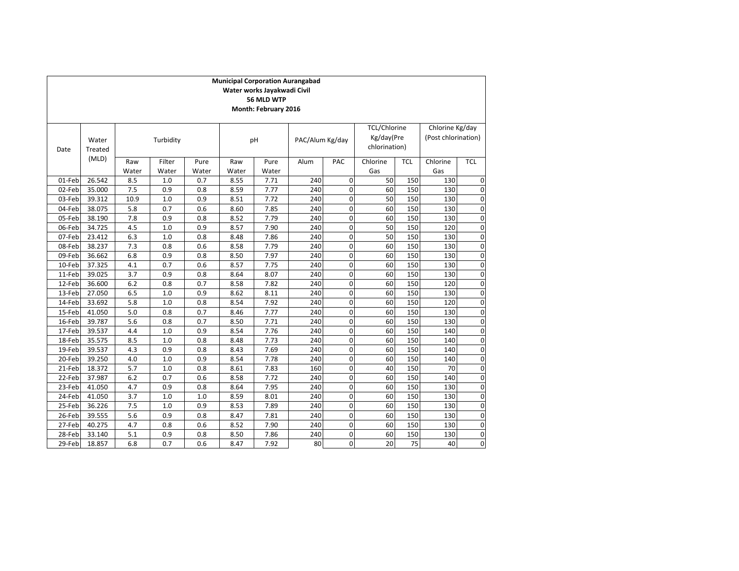|        |                  |              |                 |               | <b>Municipal Corporation Aurangabad</b> | Water works Jayakwadi Civil<br>56 MLD WTP<br>Month: February 2016 |                 |             |                                                    |            |                                        |                |
|--------|------------------|--------------|-----------------|---------------|-----------------------------------------|-------------------------------------------------------------------|-----------------|-------------|----------------------------------------------------|------------|----------------------------------------|----------------|
| Date   | Water<br>Treated |              | Turbidity       |               | pH                                      |                                                                   | PAC/Alum Kg/day |             | <b>TCL/Chlorine</b><br>Kg/day(Pre<br>chlorination) |            | Chlorine Kg/day<br>(Post chlorination) |                |
|        | (MLD)            | Raw<br>Water | Filter<br>Water | Pure<br>Water | Raw<br>Water                            | Pure<br>Water                                                     | Alum            | PAC         | Chlorine<br>Gas                                    | <b>TCL</b> | Chlorine<br>Gas                        | <b>TCL</b>     |
| 01-Feb | 26.542           | 8.5          | 1.0             | 0.7           | 8.55                                    | 7.71                                                              | 240             | $\Omega$    | 50                                                 | 150        | 130                                    | 0              |
| 02-Feb | 35.000           | 7.5          | 0.9             | 0.8           | 8.59                                    | 7.77                                                              | 240             | $\Omega$    | 60                                                 | 150        | 130                                    | 0              |
| 03-Feb | 39.312           | 10.9         | 1.0             | 0.9           | 8.51                                    | 7.72                                                              | 240             | $\mathbf 0$ | 50                                                 | 150        | 130                                    | 0              |
| 04-Feb | 38.075           | 5.8          | 0.7             | 0.6           | 8.60                                    | 7.85                                                              | 240             | $\mathbf 0$ | 60                                                 | 150        | 130                                    | 0              |
| 05-Feb | 38.190           | 7.8          | 0.9             | 0.8           | 8.52                                    | 7.79                                                              | 240             | $\mathbf 0$ | 60                                                 | 150        | 130                                    | 0              |
| 06-Feb | 34.725           | 4.5          | 1.0             | 0.9           | 8.57                                    | 7.90                                                              | 240             | $\mathbf 0$ | 50                                                 | 150        | 120                                    | 0              |
| 07-Feb | 23.412           | 6.3          | 1.0             | 0.8           | 8.48                                    | 7.86                                                              | 240             | $\Omega$    | 50                                                 | 150        | 130                                    | 0              |
| 08-Feb | 38.237           | 7.3          | 0.8             | 0.6           | 8.58                                    | 7.79                                                              | 240             | $\mathbf 0$ | 60                                                 | 150        | 130                                    | 0              |
| 09-Feb | 36.662           | 6.8          | 0.9             | 0.8           | 8.50                                    | 7.97                                                              | 240             | $\Omega$    | 60                                                 | 150        | 130                                    | 0              |
| 10-Feb | 37.325           | 4.1          | 0.7             | 0.6           | 8.57                                    | 7.75                                                              | 240             | $\Omega$    | 60                                                 | 150        | 130                                    | 0              |
| 11-Feb | 39.025           | 3.7          | 0.9             | 0.8           | 8.64                                    | 8.07                                                              | 240             | $\mathbf 0$ | 60                                                 | 150        | 130                                    | 0              |
| 12-Feb | 36.600           | 6.2          | 0.8             | 0.7           | 8.58                                    | 7.82                                                              | 240             | $\mathbf 0$ | 60                                                 | 150        | 120                                    | 0              |
| 13-Feb | 27.050           | 6.5          | 1.0             | 0.9           | 8.62                                    | 8.11                                                              | 240             | $\mathbf 0$ | 60                                                 | 150        | 130                                    | 0              |
| 14-Feb | 33.692           | 5.8          | 1.0             | 0.8           | 8.54                                    | 7.92                                                              | 240             | $\mathbf 0$ | 60                                                 | 150        | 120                                    | 0              |
| 15-Feb | 41.050           | 5.0          | 0.8             | 0.7           | 8.46                                    | 7.77                                                              | 240             | $\mathbf 0$ | 60                                                 | 150        | 130                                    | 0              |
| 16-Feb | 39.787           | 5.6          | 0.8             | 0.7           | 8.50                                    | 7.71                                                              | 240             | $\mathbf 0$ | 60                                                 | 150        | 130                                    | 0              |
| 17-Feb | 39.537           | 4.4          | 1.0             | 0.9           | 8.54                                    | 7.76                                                              | 240             | $\Omega$    | 60                                                 | 150        | 140                                    | 0              |
| 18-Feb | 35.575           | 8.5          | 1.0             | 0.8           | 8.48                                    | 7.73                                                              | 240             | $\Omega$    | 60                                                 | 150        | 140                                    | 0              |
| 19-Feb | 39.537           | 4.3          | 0.9             | 0.8           | 8.43                                    | 7.69                                                              | 240             | $\mathbf 0$ | 60                                                 | 150        | 140                                    | 0              |
| 20-Feb | 39.250           | 4.0          | 1.0             | 0.9           | 8.54                                    | 7.78                                                              | 240             | $\Omega$    | 60                                                 | 150        | 140                                    | 0              |
| 21-Feb | 18.372           | 5.7          | 1.0             | 0.8           | 8.61                                    | 7.83                                                              | 160             | $\mathbf 0$ | 40                                                 | 150        | 70                                     | 0              |
| 22-Feb | 37.987           | 6.2          | 0.7             | 0.6           | 8.58                                    | 7.72                                                              | 240             | $\mathbf 0$ | 60                                                 | 150        | 140                                    | 0              |
| 23-Feb | 41.050           | 4.7          | 0.9             | 0.8           | 8.64                                    | 7.95                                                              | 240             | $\mathbf 0$ | 60                                                 | 150        | 130                                    | 0              |
| 24-Feb | 41.050           | 3.7          | 1.0             | 1.0           | 8.59                                    | 8.01                                                              | 240             | $\mathbf 0$ | 60                                                 | 150        | 130                                    | 0              |
| 25-Feb | 36.226           | 7.5          | 1.0             | 0.9           | 8.53                                    | 7.89                                                              | 240             | $\mathbf 0$ | 60                                                 | 150        | 130                                    | 0              |
| 26-Feb | 39.555           | 5.6          | 0.9             | 0.8           | 8.47                                    | 7.81                                                              | 240             | $\mathbf 0$ | 60                                                 | 150        | 130                                    | 0              |
| 27-Feb | 40.275           | 4.7          | 0.8             | 0.6           | 8.52                                    | 7.90                                                              | 240             | $\mathbf 0$ | 60                                                 | 150        | 130                                    | 0              |
| 28-Feb | 33.140           | 5.1          | 0.9             | 0.8           | 8.50                                    | 7.86                                                              | 240             | $\Omega$    | 60                                                 | 150        | 130                                    | 0              |
| 29-Feb | 18.857           | 6.8          | 0.7             | 0.6           | 8.47                                    | 7.92                                                              | 80              | $\Omega$    | 20                                                 | 75         | 40                                     | $\overline{0}$ |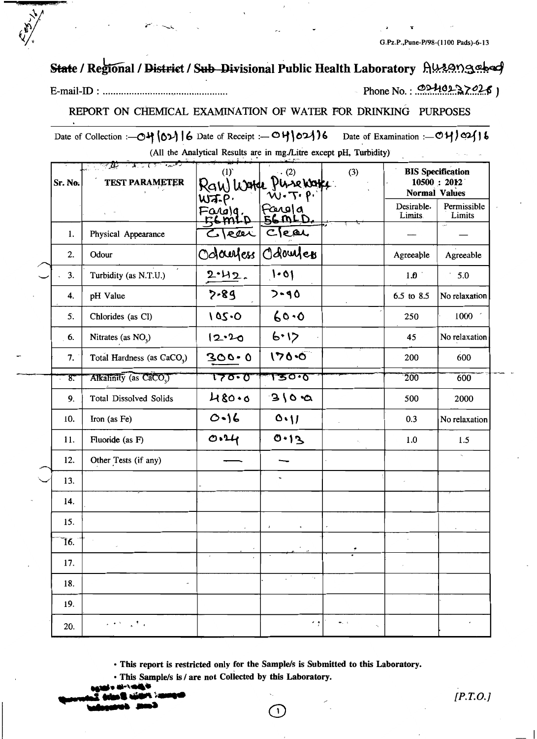# State / Regional / District / Sub Divisional Public Health Laboratory Autongebed

Phone No.: 0240237026)

 $[P.T.O.]$ 

### REPORT ON CHEMICAL EXAMINATION OF WATER FOR DRINKING PURPOSES

Date of Collection :- 04 (02) 6 Date of Receipt :- 04 021 6 Date of Examination :- 04/02/16 (All the Analytical Results are in mg./Litre except pH, Turbidity)

| Sr. No.        | $2.7$ ( $7.7$ $1.2$ $1.7$<br><b>TEST PARAMETER</b> | (1)                                            | $\cdot$ (2)<br>Raw Warde Pinsewark<br>W.T.P. | (3)                                   | Normal Values         | <b>BIS</b> Specification<br>10500 : 2012 |
|----------------|----------------------------------------------------|------------------------------------------------|----------------------------------------------|---------------------------------------|-----------------------|------------------------------------------|
|                |                                                    | $W$ $\bar{A}$ . $P$<br>Fargig.<br>Femili<br>Л. | Farola<br>56 MLD                             |                                       | Desirable.<br>Limits. | Permissible<br>Limits                    |
| 1.             | Physical Appearance                                | $C$ $\sqrt{e^{\alpha}}$                        | Clear                                        |                                       |                       |                                          |
| 2.             | Odour                                              | Odamess                                        | Odowles                                      |                                       | Agreeable             | Agreeable                                |
| 3.             | Turbidity (as N.T.U.)                              | 2.42.                                          | 1.01                                         |                                       | 1.0                   | 5.0                                      |
| 4.             | pH Value                                           | $2 - 89$                                       | $7 - 90$                                     |                                       | 6.5 to 8.5            | No relaxation                            |
| 5 <sup>2</sup> | Chlorides (as Cl)                                  | 105.0                                          | 60.06                                        |                                       | 250                   | 1000                                     |
| 6.             | Nitrates (as $NO3$ )                               | 12.20                                          | 6.12                                         |                                       | 45                    | No relaxation                            |
| 7.             | Total Hardness (as CaCO <sub>3</sub> )             | $300 - 0$                                      | $170 - 0$                                    |                                       | 200                   | 600                                      |
| <u>. 8. </u>   | Alkalinity (as CaCO,)                              | 70.0                                           | ᡏᡃ᠍᠊ᢌᠣ᠇ᢐ                                     |                                       | 200                   | 600                                      |
| 9.             | Total Dissolved Solids                             | 480.6                                          | 310.2                                        |                                       | 500                   | 2000                                     |
| 10.            | Iron (as Fe)                                       | $O - 16$                                       | O(1)                                         |                                       | 0.3                   | No relaxation                            |
| 11.            | Fluoride (as F)                                    | O.14                                           | 0.13                                         |                                       | 1.0                   | 1.5                                      |
| 12.            | Other Tests (if any)                               |                                                |                                              |                                       |                       | $\sim$                                   |
| 13.            |                                                    |                                                |                                              |                                       |                       |                                          |
| 14.            |                                                    |                                                |                                              |                                       |                       |                                          |
| 15.            |                                                    |                                                |                                              |                                       |                       |                                          |
| 76.            |                                                    |                                                |                                              |                                       |                       |                                          |
| 17.            |                                                    |                                                |                                              |                                       |                       |                                          |
| 18.            | $\overline{\phantom{a}}$                           |                                                | УĖ.<br>$\sim$ 4 $-$                          |                                       |                       |                                          |
| 19.            |                                                    |                                                |                                              |                                       |                       |                                          |
| 20.            | 的复数人名费尔                                            |                                                | $\cdot$ ,                                    | $\bullet$ , $\circ$<br>$\tau_{\rm V}$ |                       | $\epsilon$                               |

· This report is restricted only for the Sample/s is Submitted to this Laboratory.

 $\mathbf{1}$ 

· This Sample/s is / are not Collected by this Laboratory.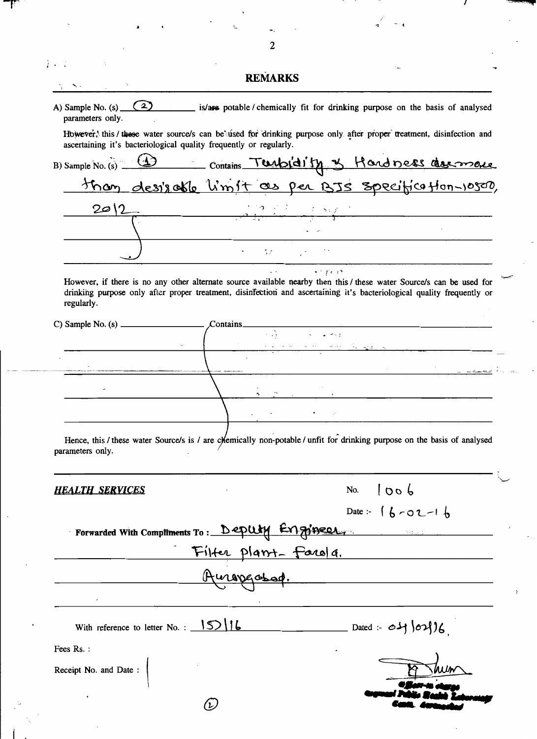|                                                                    | 2                                              |                                                                                                                                         |
|--------------------------------------------------------------------|------------------------------------------------|-----------------------------------------------------------------------------------------------------------------------------------------|
|                                                                    |                                                |                                                                                                                                         |
|                                                                    | <b>REMARKS</b>                                 |                                                                                                                                         |
| parameters only.                                                   |                                                | A) Sample No. (s) $\boxed{2}$ is/are potable / chemically fit for drinking purpose on the basis of analysed                             |
|                                                                    |                                                | However, this / these water source/s can be used for drinking purpose only after proper treatment, disinfection and                     |
| ascertaining it's bacteriological quality frequently or regularly. |                                                |                                                                                                                                         |
|                                                                    |                                                | B) Sample No. (s) 43 Contains Turbidity & Hand ness describes                                                                           |
|                                                                    |                                                |                                                                                                                                         |
| 2012                                                               |                                                | <u> 1905 - Johann Stoff, deutscher Stoff, der Stoff, der Stoff, der Stoff, der Stoff, der Stoff, der Stoff, der S</u>                   |
|                                                                    |                                                |                                                                                                                                         |
|                                                                    | $\epsilon = \sqrt{N}$ and $\epsilon$           |                                                                                                                                         |
| regularly.                                                         |                                                | drinking purpose only after proper treatment, disinfection and ascertaining it's bacteriological quality frequently or                  |
|                                                                    | $\mathcal$ Contains                            |                                                                                                                                         |
|                                                                    |                                                | <u> 1990 - Andrew Marie Barbara, Amerikaansk politiker (</u>                                                                            |
|                                                                    |                                                |                                                                                                                                         |
|                                                                    |                                                |                                                                                                                                         |
|                                                                    |                                                |                                                                                                                                         |
|                                                                    |                                                |                                                                                                                                         |
|                                                                    |                                                |                                                                                                                                         |
|                                                                    |                                                |                                                                                                                                         |
|                                                                    |                                                | Hence, this / these water Source/s is / are chemically non-potable / unfit for drinking purpose on the basis of analysed<br>1006<br>No. |
|                                                                    |                                                | Date: $16 - 02 - 16$                                                                                                                    |
|                                                                    | Forwarded With Comptiments To: Deputy Engineer |                                                                                                                                         |
|                                                                    |                                                |                                                                                                                                         |
|                                                                    |                                                |                                                                                                                                         |
| parameters only.<br><b>HEALTH SERVICES</b>                         |                                                | Filter plant-farola.<br>Auropgassad.                                                                                                    |
|                                                                    |                                                | With reference to letter No.: $15/16$ Dated: $04/02/6$                                                                                  |
| Fees Rs.:                                                          |                                                |                                                                                                                                         |
| Receipt No. and Date:                                              |                                                |                                                                                                                                         |

 $\overline{I}$ 

T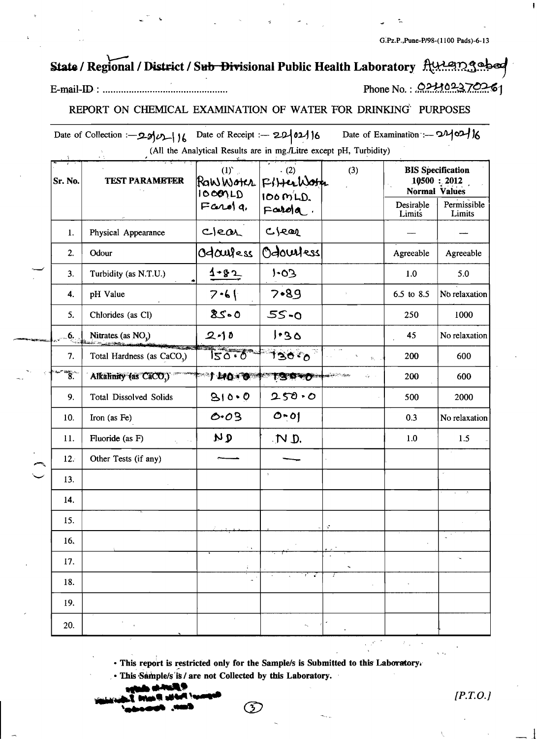G.Pz.P., Pune-P/98-(1100 Pads)-6-13

# State / Regional / District / Sub Divisional Public Health Laboratory Auteings

### E-mail-ID: .....................

# Phone No.: 021102370261

# REPORT ON CHEMICAL EXAMINATION OF WATER FOR DRINKING PURPOSES

Date of Collection :-  $29/11/6$  Date of Receipt :-  $29/02/16$ Date of Examination :- 240216 (All the Analytical Results are in mg./Litre except pH, Turbidity)

| Sr. No. | <b>TEST PARAMETER</b>                  | $(1)^{\circ}$ .<br>ROWWOTCR<br>10000LD | (2)<br>FitterWoth<br>$100 \, \text{m/L}$ | (3)                                       | <b>BIS</b> Specification<br><b>Normal Values</b> | $10500$ : 2012        |
|---------|----------------------------------------|----------------------------------------|------------------------------------------|-------------------------------------------|--------------------------------------------------|-----------------------|
|         |                                        | $F$ and $q$ ,                          | $Fand a$ .                               |                                           | Desirable<br>Limits                              | Permissible<br>Limits |
| 1.      | Physical Appearance                    | Clear                                  | C Jear                                   |                                           |                                                  |                       |
| 2.      | Odour                                  | Odauless                               | Odouvess                                 |                                           | Agreeable                                        | Agreeable             |
| 3.      | Turbidity (as N.T.U.)                  | $4 - 82$                               | $50 - 1$                                 |                                           | $1.0\,$                                          | 5.0                   |
| 4.      | pH Value                               | $7 - 6$                                | 7.89                                     |                                           | 6.5 to 8.5                                       | No relaxation         |
| 5.      | Chlorides (as Cl)                      | $85 - 0$                               | $55 - 0$                                 |                                           | 250                                              | 1000                  |
| 6.      | Nitrates (as $NOv$ )                   | $2 - 10$                               | 1.30                                     |                                           | 45                                               | No relaxation         |
| 7.      | Total Hardness (as CaCO <sub>3</sub> ) | 120.0                                  | 130%                                     | $\psi_{\rm d}$ .                          | 200                                              | 600                   |
| ัั8.    | Alkalinity (as CaCO.)                  | $+40.0$                                | <b>TSO OF THE CONTROL</b>                | $\mathcal{C}_{\mathcal{R}} = \mathcal{A}$ | 200                                              | 600                   |
| 9.      | <b>Total Dissolved Solids</b>          | 810.0                                  | 250.0                                    |                                           | 500                                              | 2000                  |
| 10.     | Iron (as Fe)                           | 0.03                                   | $0 - 01$                                 |                                           | 0.3                                              | No relaxation         |
| 11.     | Fluoride (as F)                        | و بر                                   | $\mathcal{D}$                            |                                           | 1.0                                              | 1.5                   |
| 12.     | Other Tests (if any)                   |                                        |                                          |                                           |                                                  |                       |
| 13.     |                                        |                                        | $\,$                                     |                                           |                                                  |                       |
| 14.     |                                        |                                        |                                          |                                           |                                                  |                       |
| 15.     |                                        |                                        |                                          |                                           |                                                  |                       |
| 16,     |                                        |                                        |                                          |                                           |                                                  |                       |
| 17.     |                                        |                                        |                                          |                                           |                                                  |                       |
| 18.     |                                        |                                        | ਨਾ ਕ                                     | $\overline{1}$                            |                                                  |                       |
| 19.     |                                        |                                        |                                          |                                           |                                                  |                       |
| 20.     |                                        | $\epsilon$                             | $\kappa_{\rm g}$                         |                                           |                                                  |                       |

· This report is restricted only for the Sample/s is Submitted to this Laboratory.

E

· This Sample/s is / are not Collected by this Laboratory.

 $[*P.T.O.*]$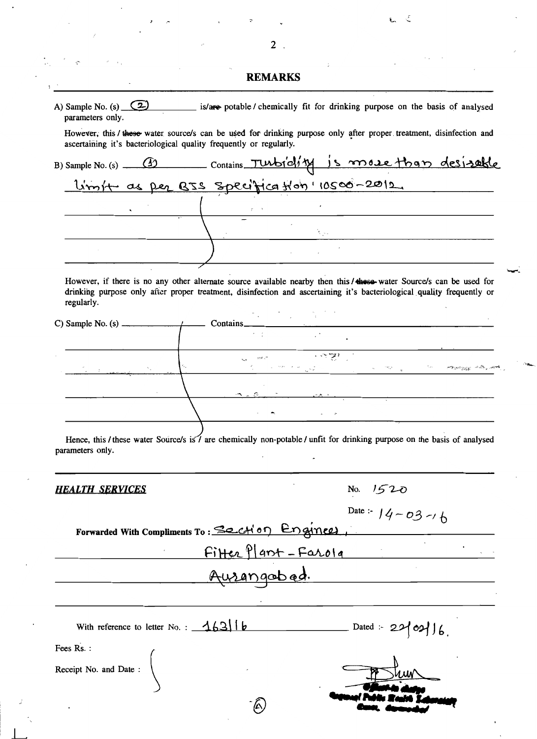|                                             | <b>REMARKS</b>                                                                                                                                                                                                                                 |
|---------------------------------------------|------------------------------------------------------------------------------------------------------------------------------------------------------------------------------------------------------------------------------------------------|
| A) Sample No. (s) $(2)$<br>parameters only. | is/are potable/ chemically fit for drinking purpose on the basis of analysed                                                                                                                                                                   |
|                                             | However, this / these water source/s can be used for drinking purpose only after proper treatment, disinfection and<br>ascertaining it's bacteriological quality frequently or regularly.                                                      |
|                                             | B) Sample No. (s) __ (1) contains Turbiclity is more than desirable<br>L'imit as per BIS Specification 10500-2012                                                                                                                              |
|                                             |                                                                                                                                                                                                                                                |
|                                             |                                                                                                                                                                                                                                                |
|                                             |                                                                                                                                                                                                                                                |
|                                             |                                                                                                                                                                                                                                                |
| regularly.                                  | However, if there is no any other alternate source available nearby then this / these-water Source/s can be used for<br>drinking purpose only after proper treatment, disinfection and ascertaining it's bacteriological quality frequently or |
|                                             | $\text{contains}_{\text{max}}$<br>$\epsilon = \pm 1$                                                                                                                                                                                           |
|                                             | $\overline{\cdots}$<br>$\mathbb{R}^n$ , where                                                                                                                                                                                                  |
|                                             | The Common State of the Common Common Common Common Common Common Common Common Common Common Common Common Common Common Common Common Common Common Common Common Common Common Common Common Common Common Common Common Co                 |
|                                             |                                                                                                                                                                                                                                                |
|                                             |                                                                                                                                                                                                                                                |
|                                             |                                                                                                                                                                                                                                                |
| parameters only.                            |                                                                                                                                                                                                                                                |
| <b>HEALTH SERVICES</b>                      | Hence, this / these water Source/s is / are chemically non-potable / unfit for drinking purpose on the basis of analysed                                                                                                                       |
|                                             | No. $1520$<br>Date: $14 - 03 - 16$                                                                                                                                                                                                             |
|                                             | Forwarded With Compliments To: Section Enginees,                                                                                                                                                                                               |
|                                             | Fitter Plant-Farola                                                                                                                                                                                                                            |
|                                             | Ausangobad.                                                                                                                                                                                                                                    |
|                                             |                                                                                                                                                                                                                                                |
| Fees Rs.:                                   | With reference to letter No.: $\frac{163}{16}$                                                                                                                                                                                                 |
| Receipt No. and Date:                       |                                                                                                                                                                                                                                                |

 $\overline{2}$ .

 $\frac{1}{2}$ 

 $\ddot{\cdot}$ 

 $\overline{\phantom{a}}$ 

 $\overline{a}$ 

 $\epsilon$   $\epsilon$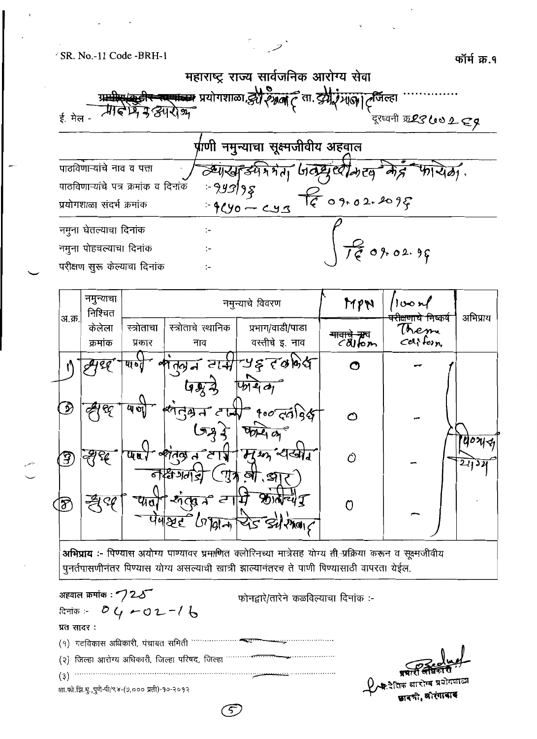महाराष्ट्र राज्य सार्वजनिक आरोग्य सेवा स्त्यान्त्रमः प्रयोगशाळा, *हेरी २२ अलं ट*ेता. दुर्गी *गाला। ट*र्जिल्हा मि न हमरान्न ई. मेल -

<u>र्प्राणी नमुन्याचा सूक्ष्मजीवीय अहव</u>ाल पाठविणाऱ्यांचे नाव व पत्ता  $4040$ व्यास्तु ड्येमे मेता  $-99398$ पाठविणाऱ्यांचे पत्र क्रमांक व दिनांक 09.02.2095 प्रयोगशाळा संदर्भ क्रमांक  $-920 - 23$ नमुना घेतल्याचा दिनांक  $\ddot{\phantom{a}}$  $0,902,96$ नमूना पोहचल्याचा दिनांक ٠\_ परीक्षण सूरू केल्याचा दिनांक ţ.

| अ.क्र.         | नमुन्याचा<br>निश्चित |                   |                                     | नमुन्याचे विवरण                                                                  | MPN           | 100r<br><del>परोक्षणाचे निष्</del> कर्षे | अभिप्राय    |
|----------------|----------------------|-------------------|-------------------------------------|----------------------------------------------------------------------------------|---------------|------------------------------------------|-------------|
|                | केलेला               | स्त्रोताचा        | स्त्रोताचे स्थानिक                  | प्रभाग/वाडी/पाडा                                                                 |               | Theme                                    |             |
|                | क्रमांक              | प्रकार            | नाव                                 | वस्तीचे इ. नाव                                                                   | $c$ difon     | $cd$ form                                |             |
|                |                      | यान्त             |                                     | भातवान वासी पड़ तकालेख                                                           | O             |                                          |             |
| <u> N</u>      | ୧୧                   | $\overline{w}$ of | <u> पिभू ने</u>                     | 4d                                                                               |               |                                          |             |
|                |                      |                   |                                     | $\epsilon$ $\frac{1}{4}$ $\frac{1}{4}$ $\frac{1}{4}$ $\frac{1}{4}$ $\frac{1}{4}$ | $\mathcal{O}$ |                                          | $u \circ u$ |
| $\mathfrak{F}$ |                      | ધા ત              | $\overline{A}$<br>तिव्र<br>নস্কিসনা |                                                                                  | Ô             |                                          | 2432        |
| ]F             | QΔ                   | ऱ्यात             | -ইন<br>2<br>्छ न<br>पेषष्टर<br>່ດ   | জা<br>S<br>24015                                                                 |               |                                          |             |

अभिप्राय :- पिण्यास अयोग्य पाण्यावर च्र<del>माणि</del>त क्लोरिनच्या मात्रेसह योग्य <del>ती प्रक्रिया</del> करून व सूक्ष्मजीवीय पुनर्तपासणीनंतर पिण्यास योग्य असल्याची खात्री झाल्यानंतरच ते पाणी पिण्यासाठी वापरता येईल.

अहवाल क्रमांक :  $\mathcal{7}$ 2  $\mathcal{S}$ फोनद्वारे/तारेने कळविल्याचा दिनांक :- $04 - 02 - 16$ दिनांक :-प्रत सादर:  $(9)$ ाटविकास अधिकारी, पंचायत समिती ………… (२) जिल्हा आरोग्य अधिकारी, जिल्हा परिषद, जिल्हा '' शा.फो.झि.मू.,पुणे-पी/९४-(७,००० प्रती)-१०-२०१२

5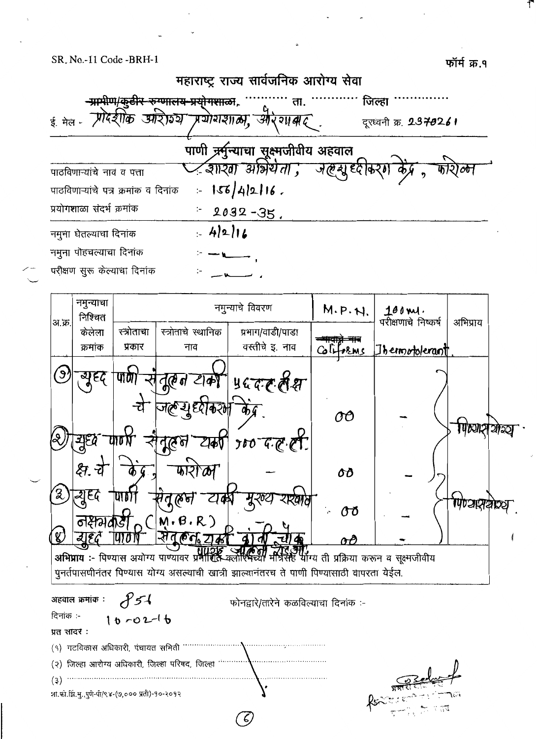फॉर्म क्र.१



 $\epsilon$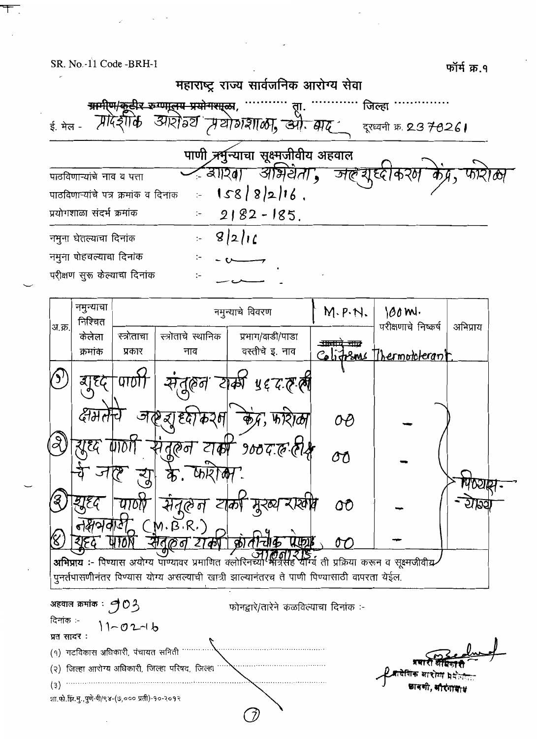Ŧ

|        |                                      |            |                    |          | पाणी अर्मुन्याचा सूक्ष्मुजीवीय अहवाल                                             |                                                                                           |                                          |          |
|--------|--------------------------------------|------------|--------------------|----------|----------------------------------------------------------------------------------|-------------------------------------------------------------------------------------------|------------------------------------------|----------|
|        | पाठविणाऱ्यांचे नाव व पत्ता           |            |                    | $= 3120$ | <u> आभेर्यता ,</u>                                                               | সৰ্কে হাৰ্ডৰ                                                                              | करम                                      |          |
|        | पाठविणाऱ्यांचे पत्र क्रमांक व दिनांक |            | $\vdots$           |          | $158/8/2/16$ .                                                                   |                                                                                           |                                          |          |
|        | प्रयोगशाळा संदर्भ क्रमांक            |            | ÷                  |          | $2182 - 185$ .                                                                   |                                                                                           |                                          |          |
|        | नमुना घेतल्याचा दिनांक               |            |                    |          | 9 2 16                                                                           |                                                                                           |                                          |          |
|        | नमुना पोहचल्याचा दिनांक              |            |                    |          |                                                                                  |                                                                                           |                                          |          |
|        | परीक्षण सुरू केल्याचा दिनांक         |            | ፦                  |          |                                                                                  |                                                                                           |                                          |          |
|        | नमुन्याचा                            |            |                    |          |                                                                                  |                                                                                           |                                          |          |
| अ.क्र. | निश्चित                              |            |                    |          | नमुन्याचे विवरण                                                                  | M.P.W.                                                                                    | 100 ml.<br>परीक्षणाचे निष्कर्ष           | अभिप्राय |
|        | केलेला                               | स्त्रोताचा | स्त्रोताचे स्थानिक |          | प्रभाग/वाडी/पाडा                                                                 | <del>- 11. 11. 11.</del>                                                                  |                                          |          |
|        | क्रमांक                              | प्रकार     | नाव                |          | वस्तीचे इ. नाव                                                                   |                                                                                           | <u>Colitions</u> Thermotolerant.         |          |
|        | उ। १८                                |            | নুষ্কেন            |          | प <i>्रद</i> ्रहरू<br>क्श                                                        |                                                                                           |                                          |          |
|        | द्वभल                                | ্র         |                    |          |                                                                                  |                                                                                           |                                          |          |
|        |                                      |            |                    |          |                                                                                  |                                                                                           |                                          |          |
|        | ग्रह्य                               |            | तुरून              |          | यक्ष १०० व. ह.                                                                   | υυ                                                                                        |                                          |          |
|        |                                      |            |                    |          |                                                                                  |                                                                                           |                                          |          |
|        |                                      |            |                    |          |                                                                                  |                                                                                           |                                          | Y OEITEA |
|        |                                      |            |                    |          |                                                                                  | OO                                                                                        |                                          |          |
|        |                                      |            | (M.B.R.)           |          |                                                                                  | OT.                                                                                       |                                          |          |
|        |                                      |            |                    |          | अभिप्राय :- पिण्यास अयोग्य पाण्यावर प्रमाणित क्लोरिनच्या <del>'मॅ</del> ार्जेसह' |                                                                                           | थॉर्ग्य ती प्रक्रिया करून व सूक्ष्मजीवीय |          |
|        |                                      |            |                    |          |                                                                                  | पुनर्तपासणीनंतर पिण्यास योग्य असल्याची खात्री झाल्यानंतरच ते पाणी पिण्यासाठी वापरता येईल. |                                          |          |

न्दिशिक आशोध b<del>a</del> छावणी, भौरंगायाध

शा.फो.झि.मु.,पुणे-पी/९४-(७,००० प्रती)-१०-२०१२

 $\left( \mathsf{q}\right)$  गटविकास अधिकारी, पंचायत समिती  $\cdots$ 

(२) जिल्हा आरोग्य अधिकारी, जिल्हा परिषद, जिल्हा <sup>….</sup>

 $\bullet$  (3)  $\bullet$ 

う

. . . . . . . . . . . . . . . . . .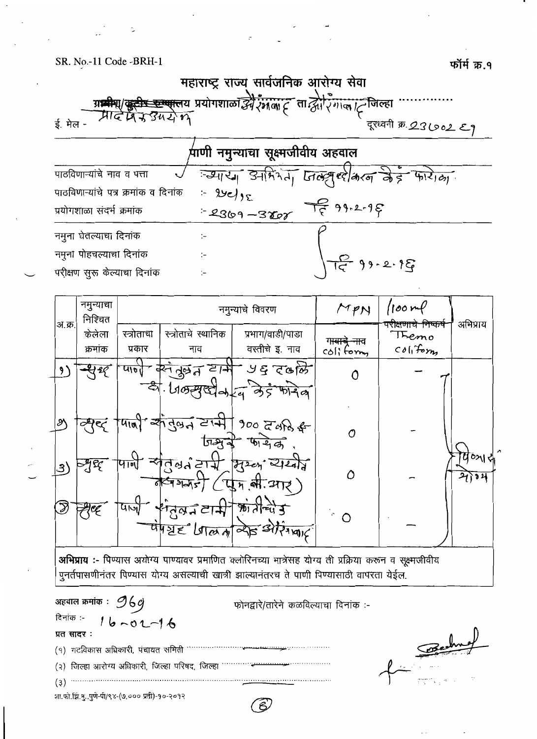

|                        | नमुन्याचा<br>निश्चित |                      |                           | नमुन्याचे विवरण                                                                                    | MPN                                           | 100m                                          | अभिप्राय       |  |
|------------------------|----------------------|----------------------|---------------------------|----------------------------------------------------------------------------------------------------|-----------------------------------------------|-----------------------------------------------|----------------|--|
| अ.क्र.                 | केलेला<br>क्रमांक    | स्त्रोताचा<br>प्रकार | स्त्रोताचे स्थानिक<br>नाव | प्रभाग/वाडी/पाडा<br>वस्तीचे इ. नाव                                                                 | ग <del>ावाच ना</del> व<br>$\text{col}$ ; form | परीक्षणाचे निष्कर्षे<br>Themo<br>$col_1$ form |                |  |
|                        | <del>থ</del> গ্র     |                      | पार्ण करंतुल टार्म        | - ५६ दक्ष्मि<br>$-$ 31. LIGERED-La distribution                                                    |                                               |                                               |                |  |
| $\mathcal{S}^{\prime}$ |                      |                      |                           | $\frac{1}{4\pi\sqrt{3}}$ and $\frac{1}{4\pi\sqrt{3}}$ and $\frac{1}{4\pi\sqrt{3}}$<br>जिश्वर फायेक | Ω                                             |                                               |                |  |
| .3)                    | न्युद्द              |                      | $\sqrt{4445}$             | पार्षे संतुल होरी मुख्य सम्बन्ध<br>$($ एक ली आर $)$                                                | Λ                                             |                                               | पण्यस<br>शोग्य |  |
|                        | УÇ                   | $4 - 4$              | <b>संतुलन टामे</b>        | श्री तीच्युं कु<br>UNDE LATE SITING                                                                | $\hat{C}$                                     |                                               |                |  |
|                        |                      |                      |                           |                                                                                                    |                                               |                                               |                |  |

अभिप्राय :- पिण्यास अयोग्य पाण्यावर प्रमाणित क्लोरिनच्या मात्रेसह योग्य ती प्रक्रिया करून व सूक्ष्मजीवीय पुनर्तपासणीनंतर पिण्यास योग्य असल्याची खात्री झाल्यानंतरच ते पाणी पिण्यासाठी वापरता येईल.

अहवाल क्रमांक $:$  96 $g$ फोनद्वारे/तारेने कळविल्याचा दिनांक :-दिनांक :- $16 - 01 - 16$ प्रत सादर:  $(9)$  गटविकास अधिकारी, पंचायत समिती \*\*\*\*\*\*\*\*\*\*\*\*\*\* (२) जिल्हा आरोग्य अधिकारी, जिल्हा परिषद, जिल्हा शा.फो.झि.मु.,पुणे-पी/९४-(७,००० प्रती)-१०-२०१२

 $\widehat{\mathcal{E}}$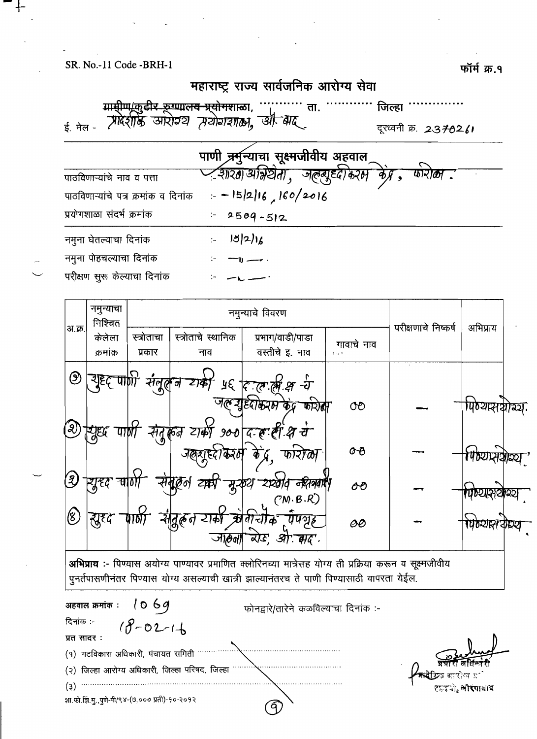फॉर्म क्र.१

# महाराष्ट्र राज्य सार्वजनिक आरोग्य सेवा

ग्रामीण/कुटीर रूग्णाल<del>य प्र्</del>योगशाळा, ....... ता. जिल्हा  $\cdots$ ई. मेल -दूरध्वनी क्र. 2370261

पाणी चर्मुन्याचा सूक्ष्मजीवीय अहवाल Zआरa|आंभ्रेयेता , जल्खूट्दा*ेरफ* पाठविणाऱ्यांचे नाव व पत्ता  $= -15/2/16$ , 160/2016 पाठविणाऱ्यांचे पत्र क्रमांक व दिनांक प्रयोगशाळा संदर्भ क्रमांक  $2509 - 512$  $\div$  $|5|2|16$ नमुना घेतल्याचा दिनांक  $\ddot{z}$ नमुना पोहचल्याचा दिनांक  $\rightarrow$ परीक्षण सुरू केल्याचा दिनांक

| अ.क्र.    | नमुन्याचा<br>निश्चित      |                         |                           | नमुन्याचे विवरण                                                                                                                                                                                              |                                             | परीक्षणाचे निष्कर्ष | अभिप्राय                |      |
|-----------|---------------------------|-------------------------|---------------------------|--------------------------------------------------------------------------------------------------------------------------------------------------------------------------------------------------------------|---------------------------------------------|---------------------|-------------------------|------|
|           | केलेला<br>क्रमांक         | स्त्रोताचा<br>प्रकार    | स्त्रोताचे स्थानिक<br>नाव | प्रभाग/वाडी/पाडा<br>वस्तीचे इ. नाव                                                                                                                                                                           | गावाचे नाव<br>$\frac{1}{2}$ $\rightarrow$ 1 |                     |                         |      |
| ℗         | यूदृट् पा॑ <sub>श</sub> ि |                         |                           | संलूलन राकी प्रदक्षिक ये                                                                                                                                                                                     |                                             |                     |                         |      |
|           |                           |                         |                           | ग@र्युष्ट्वीकरम केंद्र फारीबा                                                                                                                                                                                | œ                                           |                     | पिष्यासक्षोत्र्यः       |      |
| 2)        | श्रिद्य                   | पार्णी                  |                           | संतुरून टार्की ९०० द ह ही थ रो                                                                                                                                                                               |                                             |                     |                         |      |
|           |                           |                         | जलदाहदीकरण केंद्र         |                                                                                                                                                                                                              | ൙                                           |                     | । <b>ए</b> ठ्यास्तवाञ्च |      |
|           | न्युस्द                   |                         |                           | संबद्धल ट्यारी मुख्य राखेव नद्यगवाएँ।<br>$(7M \cdot B \cdot R)$                                                                                                                                              | ОC                                          |                     | પ્રુઆસવ                 | थ्यि |
| (8)       | सुष्टद                    |                         | सीतूहन                    | रार्की कोगेचीक पैपलह<br>जांठना वेख और मद                                                                                                                                                                     | ÔО                                          |                     | पठ्यास                  |      |
|           |                           |                         |                           | <b>अभिप्राय :-</b> पिण्यास अयोग्य पाण्यावर प्रमाणित क्लोरिनच्या मात्रेसह योग्य ती प्रक्रिया करून व सूक्ष्मजीवीय<br>पुनर्तपासणीनंतर पिण्यास योग्य असल्याची खात्री झाल्यानंतरच ते पाणी पिण्यासाठी वापरता येईल. |                                             |                     |                         |      |
| दिनांक :- | अहवाल क्रमांक :           | 10 6g<br>$18 - 02 - 16$ |                           | फोनद्वारे/तारेने कळविल्याचा दिनांक :-                                                                                                                                                                        |                                             |                     |                         |      |

q

प्रत सादर: (१) गटविकास अधिकारी, पंचायत समिती (२) जिल्हा आरोग्य अधिकारी, जिल्हा परिषद, जिल्हा 

लाउनी, औरंगाबाद

शा.फो.झि.मु.,पुणे-पी/९४-(७,००० प्रती)-१०-२०१२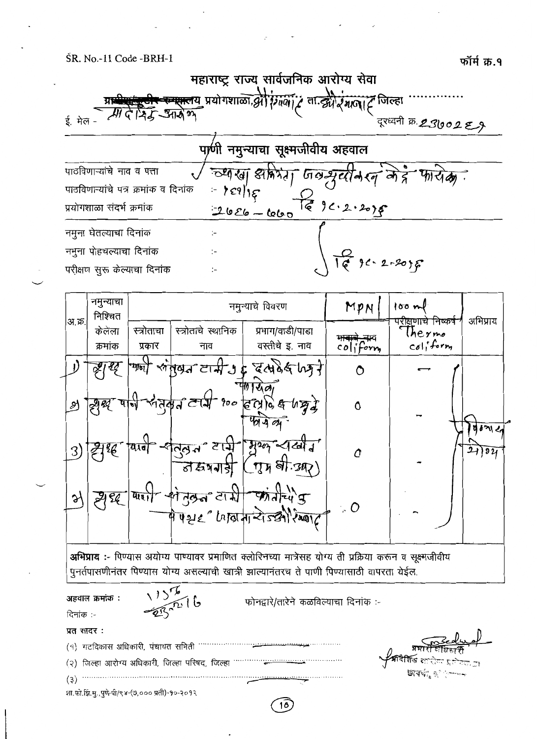

| पाठविणाऱ्यांचे नाव व पत्ता           |
|--------------------------------------|
| पाठविणाऱ्यांचे पत्र क्रमांक व दिनांक |
| प्रयोगशाळा संदर्भ क्रमांक            |
| नमुना घेतल्याचा दिनांक               |
| नमुना पोहचल्याचा दिनांक              |
| परीक्षण सुरू केल्याचा दिनांक         |

च्याखा अमिर्मा जलसुब्रीके (व मेर्द्र  $\overrightarrow{m}$   $\overrightarrow{dp}$ .  $\overleftrightarrow{6}$  9  $c \cdot 2 \cdot 20$  $2626 - 6600$  $\mathcal{L}$  $4 - 2 - 20$  $\ddot{ }$ ٠.

|        | नमुन्याचा<br>निश्चित |                      |                                 | नमुन्याचे विवरण                                                                                                                                                          | MPN                     | 100m                                               | अभिप्राय |
|--------|----------------------|----------------------|---------------------------------|--------------------------------------------------------------------------------------------------------------------------------------------------------------------------|-------------------------|----------------------------------------------------|----------|
| अ.क्र. | केलेला<br>क्रमांक    | स्त्रोताचा<br>प्रकार | स्त्रोताचे स्थानिक<br>नाव       | प्रभाग/वाडी/पाडा<br>वस्तीचे इ. नाव                                                                                                                                       | colifom                 | प <u>रीक्ष</u> णाचे निष्कर्ष<br>Thermo<br>coliform |          |
|        |                      |                      |                                 | $\downarrow$ $\star$ $\star$ $\downarrow$ $\downarrow$ $\downarrow$ $\sim$ $\star$ $\star$ $\downarrow$ $\downarrow$                                                     |                         |                                                    |          |
| ЭJ     | <b><u> 2980'</u></b> |                      |                                 | $ \frac{1}{2}$ $\frac{1}{2}$ $\frac{1}{2}$ $\frac{1}{2}$ $\frac{1}{2}$ $\frac{1}{2}$ $\frac{1}{2}$ $\frac{1}{2}$ $\frac{1}{2}$ $\frac{1}{2}$ $\frac{1}{2}$ $\frac{1}{2}$ | 0                       |                                                    | 0.6212   |
| 3)     | ₹E                   |                      | ন্ন্স বামু<br><u>तस्रंगगड़ी</u> | $H207 - 1611$<br>$(\eta_A$ धी. अर)                                                                                                                                       | Û                       |                                                    | 21)921   |
|        | Sł,                  | पारा                 | ਰੁਭ੍ਯ ਟਾ ਹੀ                     | $\frac{1}{2}$<br>पे पशह " कितिमान्दो ज्योरिष्काट                                                                                                                         | $\ddot{a}$ , $\ddot{O}$ |                                                    |          |

अभिप्राय :- पिण्यास अयोग्य पाण्यावर प्रमाणित क्लोरिनच्या मात्रेसह योग्य ती प्रक्रिया करून व सूक्ष्मजीवीय पुनर्तपासणीनंतर पिण्यास योग्य असल्याची खात्री झाल्यानंतरच ते पाणी पिण्यासाठी वापरता येईल.

 $\frac{13\frac{7}{2}}{285}$  16 अहवाल क्रमांक : फोनद्वारे/तारेने कळविल्याचा दिनांक :-दिनांक :-प्रत सादर: (१) गटविकास अधिकारी, पंचायत समिती ………………  $\begin{minipage}{0.9\linewidth} \begin{tabular}{l} \hline \textbf{1} & \textbf{2} & \textbf{3} & \textbf{4} & \textbf{5} & \textbf{6} & \textbf{6} & \textbf{6} & \textbf{6} & \textbf{6} & \textbf{6} & \textbf{6} & \textbf{6} & \textbf{6} & \textbf{6} & \textbf{6} & \textbf{6} & \textbf{6} & \textbf{6} & \textbf{6} & \textbf{6} & \textbf{6} & \textbf{6} & \textbf{6} & \textbf{6} & \textbf{6} & \textbf{6} & \textbf{6} &$  $(3)$ शा.फो.झि.मु.,पुणे-पी/९४-(७,००० प्रती)-१०-२०१२

 $\widehat{16}$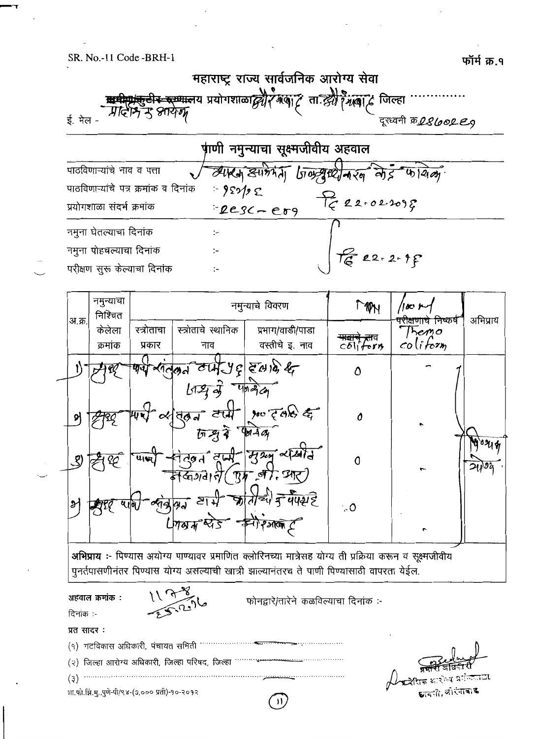

|                                      | पाणी नमुन्याचा सूक्ष्मजीवीय अहवाल |                                         |
|--------------------------------------|-----------------------------------|-----------------------------------------|
| पाठविणाऱ्यांचे नाव व पत्ता           |                                   | व्यारम ड्यामेमना जिल्ह्या नरन मेह फायेल |
| पाठविणाऱ्यांचे पत्र क्रमांक व दिनांक | $= 959/25$                        |                                         |
| प्रयोगशाळा संदर्भ क्रमांक            | $PESC-E09$                        | $T_{5}$ 22.02.2098                      |
| नमुना घेतल्याचा दिनांक               | $:-$                              |                                         |
| नमुना पोहचल्याचा दिनांक              | :-                                | $\int_{C}$ 22-2-1f                      |
| परीक्षण सुरू केल्याचा दिनांक         | $\mathcal{I}$                     |                                         |



अभिप्राय :- पिण्यास अयोग्य पाण्यावर प्रमाणित क्लोरिनच्या मात्रेसह योग्य ती प्रक्रिया करून व सूक्ष्मजीवीय पुनर्तपासणीनंतर पिण्यास योग्य असल्याची खात्री झाल्यानंतरच ते पाणी पिण्यासाठी वापरता येईल.

अहवाल क्रमांक : दिनांक :-



फोनद्वारे/तारेने कळविल्याचा दिनांक :-

| प्रत सादर :                                   |              |
|-----------------------------------------------|--------------|
|                                               |              |
|                                               |              |
|                                               | $\sqrt{\pi}$ |
| गा.फो.झि.मु.,पुणे-पी/९४-(७,००० प्रती)-१०-२०१२ |              |

⊅ीतक आरोध्य प्रसेख्याटा. छायणी, ओरंगाबाद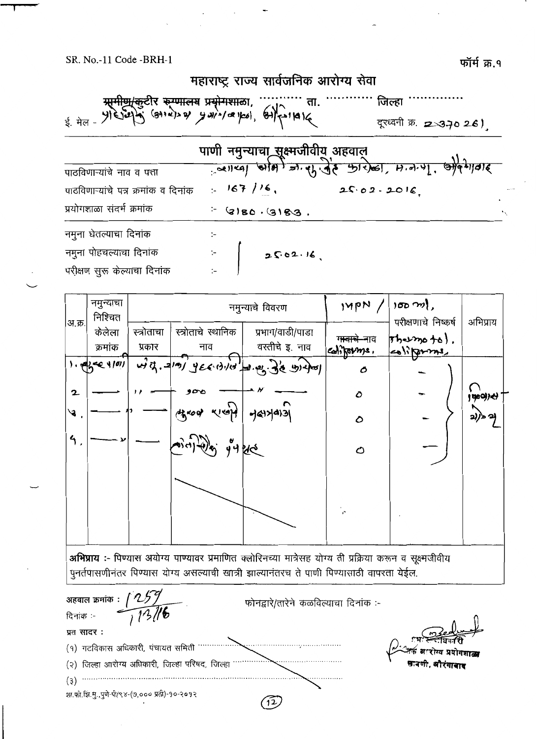फॉर्म क्र.१

|                                                                                                                                                                                       | महाराष्ट्र राज्य सार्वजनिक आरोग्य सेवा |                                                     |  |
|---------------------------------------------------------------------------------------------------------------------------------------------------------------------------------------|----------------------------------------|-----------------------------------------------------|--|
| मामी <del>ण/कुटी</del> र <del>करणालय</del> प्रयोगशाला, ''''''''' ता<br>پا ۱۹۱۹م (وه امع الصدر الله الله الله الله عليه الله عليه الله عليه الله عليه الله عليه الله عليه الله عليه ال | ता.                                    | जिल्हा<br>दूरध्वनी क्र. 2370 26)                    |  |
|                                                                                                                                                                                       | पाणी नमुन्याचा सूक्ष्मजीवीय अहवाल      |                                                     |  |
| पाठविणाऱ्यांचे नाव व पत्ता                                                                                                                                                            |                                        | 2011-01-1919) =1.41.92 912/001, H.A.4], approximate |  |
| पाठविणाऱ्यांचे पत्र क्रमांक व दिनांक                                                                                                                                                  | $167/16$ ,                             | 25.02.2016                                          |  |
| प्रयोगशाळा संदर्भ क्रमांक                                                                                                                                                             | $ (3)80.9183$ .                        |                                                     |  |
| नमुना घेतल्याचा दिनांक                                                                                                                                                                | $:-$                                   |                                                     |  |
| नमुना पोहचल्याचा दिनांक                                                                                                                                                               | 2502.16                                |                                                     |  |
| परीक्षण सुरू केल्याचा दिनांक                                                                                                                                                          |                                        |                                                     |  |

|                | नमुन्याचा<br>निश्चित |                      | नमुन्याचे विवरण           |                                     | 140N/                                 | अभिप्राय                                                |        |
|----------------|----------------------|----------------------|---------------------------|-------------------------------------|---------------------------------------|---------------------------------------------------------|--------|
| अ.क्र.         | केलेला<br>क्रमांक    | स्त्रोताचा<br>प्रकार | स्त्रोताचे स्थानिक<br>नाव | प्रभाग/वाडी/पाडा<br>वस्तीचे इ. नाव  | ग <del>ावाचे ना</del> व<br>coliforms. | परीक्षणाचे निष्कर्ष<br>$[†h$ $+2m$ $+6$ ),<br>coliforme |        |
|                | 1.99424101           |                      |                           | with. 2191 yearship 2.04. 3'e under | O                                     |                                                         |        |
| $\mathbf{2}$   |                      |                      | ەمە                       |                                     | $\mathcal{O}$                         |                                                         | (900)  |
| る              |                      |                      | yxoo weep                 | 789409                              | ٥                                     |                                                         | 2))> 긔 |
| $\mathfrak{h}$ |                      |                      | من دان به به من           |                                     | O                                     |                                                         |        |
|                |                      |                      |                           |                                     |                                       |                                                         |        |
| $\sim$         |                      |                      |                           | $\longrightarrow$                   | $\overline{a}$                        | $\overline{\phantom{a}}$                                |        |

अभिप्राय :- पिण्यास अयोग्य पाण्यावर प्रमाणित क्लोरिनच्या मात्रेसह योग्य ती प्रक्रिया करून व सूक्ष्मजीवीय पुनर्तपासणीनंतर पिण्यास योग्य असल्याची खात्री झाल्यानंतरच ते पाणी पिण्यासाठी वापरता येईल.

अहवाल क्रमांक : [ 259]<br>दिनांक :- [ 13/6 फोनद्वारे/तारेने कळविल्याचा दिनांक :-प्रत सादर: (१) गटविकास अधिकारी, पंचायत समिती ………………… स्रावणी. अौरंगाबाद  $\bullet$  (3)  $\bullet$ शा.फो.झिं.मु.,पुणे-पी/९४-(७,००० प्रती)-१०-२०१२  $\sqrt{2}$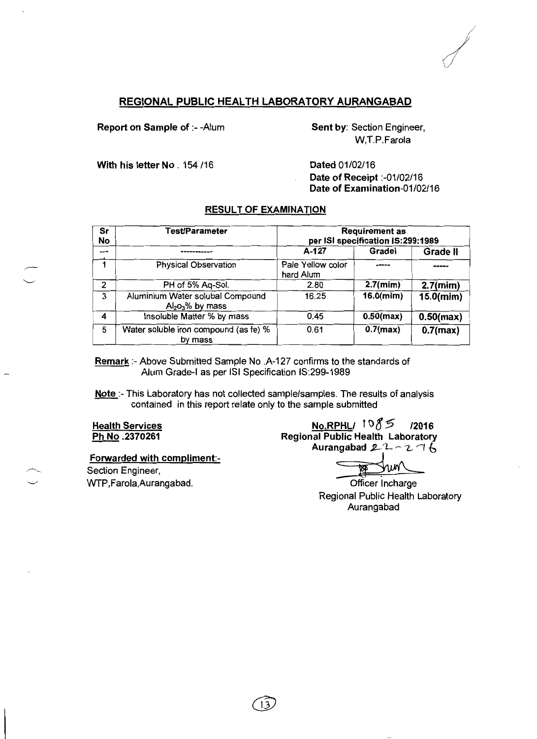### REGIONAL PUBLIC HEALTH LABORATORY AURANGABAD

Report on Sample of :- - Alum

Sent by: Section Engineer, W.T.P.Farola

With his letter No. 154 /16

Dated 01/02/16 Date of Receipt :- 01/02/16 Date of Examination-01/02/16

### **RESULT OF EXAMINATION**

| Sr<br><b>No</b> | Test/Parameter                                       | <b>Requirement as</b><br>per ISI specification IS:299:1989 |              |                 |  |
|-----------------|------------------------------------------------------|------------------------------------------------------------|--------------|-----------------|--|
| ---             |                                                      | A-127                                                      | Gradel       | <b>Grade II</b> |  |
|                 | <b>Physical Observation</b>                          | Pale Yellow color<br>hard Alum                             |              |                 |  |
| 2               | PH of 5% Aq-Sol.                                     | 2.80                                                       | $2.7$ (mim)  | $2.7$ (mim)     |  |
| 3               | Aluminium Water solubal Compound<br>$Al2O3%$ by mass | 16.25                                                      | $16.0$ (mim) | 15.0(mim)       |  |
| 4               | Insoluble Matter % by mass                           | 0.45                                                       | $0.50$ (max) | $0.50$ (max)    |  |
| 5               | Water soluble iron compound (as fe) %<br>by mass     | 0.61                                                       | $0.7$ (max)  | $0.7$ (max)     |  |

Remark :- Above Submitted Sample No .A-127 confirms to the standards of Alum Grade-I as per ISI Specification IS:299-1989

Note :- This Laboratory has not collected sample/samples. The results of analysis contained in this report relate only to the sample submitted

**Health Services** Ph No.2370261

Forwarded with compliment:-

Section Engineer, WTP, Farola, Aurangabad.

NO.RPHLI 1085 /2016 **Regional Public Health Laboratory** Aurangabad  $2 - 2 - 2 - 6$ 

চ্চ

Officer Incharge Regional Public Health Laboratory Aurangabad

 $13$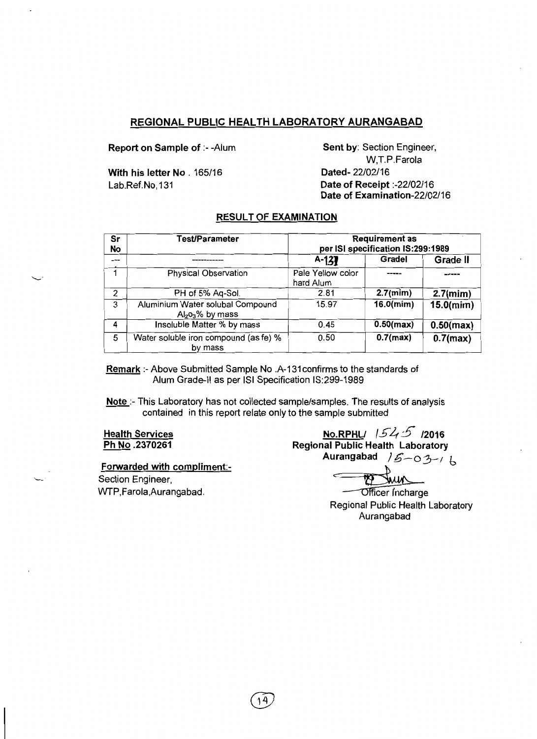### REGIONAL PUBLIC HEALTH LABORATORY AURANGABAD

Report on Sample of :- - Alum

With his letter No. 165/16 Lab.Ref.No.131

Sent by: Section Engineer, W.T.P.Farola Dated-22/02/16 Date of Receipt :- 22/02/16 Date of Examination-22/02/16

### **RESULT OF EXAMINATION**

| Sr<br>No | Test/Parameter                                       | <b>Requirement as</b><br>per ISI specification IS:299:1989 |              |              |  |
|----------|------------------------------------------------------|------------------------------------------------------------|--------------|--------------|--|
| ---      |                                                      | $A-137$                                                    | Gradel       | Grade II     |  |
|          | Physical Observation                                 | Pale Yellow color<br>hard Alum                             |              |              |  |
| 2        | PH of 5% Aq-Sol.                                     | 2.81                                                       | $2.7$ (mim)  | $2.7$ (mim)  |  |
| 3        | Aluminium Water solubal Compound<br>$Al2O3%$ by mass | 15.97                                                      | $16.0$ (mim) | $15.0$ (mim) |  |
| 4        | Insoluble Matter % by mass                           | 0.45                                                       | $0.50$ (max) | $0.50$ (max) |  |
| 5        | Water soluble iron compound (as fe) %<br>by mass     | 0.50                                                       | $0.7$ (max)  | $0.7$ (max)  |  |

Remark :- Above Submitted Sample No .A-131 confirms to the standards of Alum Grade-II as per ISI Specification IS:299-1989

14

Note :- This Laboratory has not collected sample/samples. The results of analysis contained in this report relate only to the sample submitted

**Health Services** Ph No.2370261

Forwarded with compliment:-

Section Engineer, WTP, Farola, Aurangabad.

**No.RPHL**/  $1545$  12016 **Regional Public Health Laboratory** Aurangabad  $/6 - 03 - 6$ 

Officer Incharge Regional Public Health Laboratory Aurangabad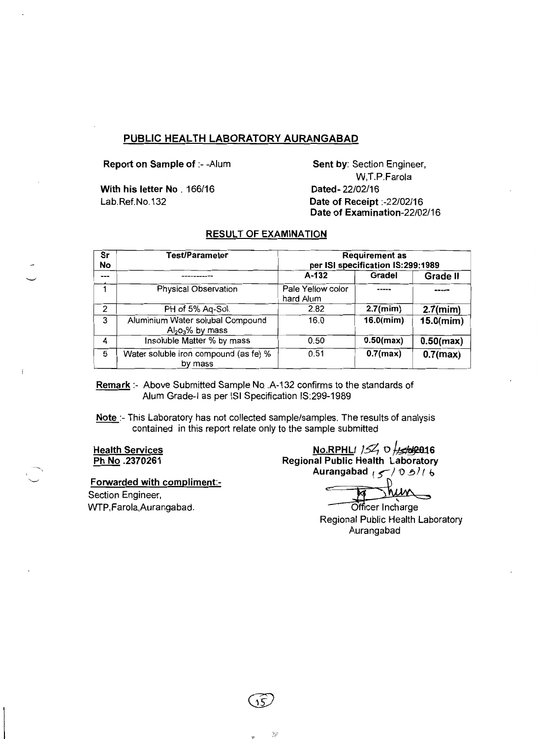### PUBLIC HEALTH LABORATORY AURANGABAD

Report on Sample of :- - Alum

With his letter No. 166/16 Lab.Ref.No.132

Sent by: Section Engineer, W.T.P.Farola Dated-22/02/16 Date of Receipt:-22/02/16 Date of Examination-22/02/16

#### **RESULT OF EXAMINATION**

| Sr<br>No | <b>Test/Parameter</b>                                | <b>Requirement as</b><br>per ISI specification IS:299:1989 |              |                 |  |
|----------|------------------------------------------------------|------------------------------------------------------------|--------------|-----------------|--|
| $---$    |                                                      | A-132                                                      | Gradel       | <b>Grade II</b> |  |
|          | <b>Physical Observation</b>                          | Pale Yellow color<br>hard Alum                             |              |                 |  |
| 2        | PH of 5% Aq-Sol.                                     | 2.82                                                       | $2.7$ (mim)  | $2.7$ (mim)     |  |
| 3        | Aluminium Water solubal Compound<br>$Al2O3%$ by mass | 16.0                                                       | $16.0$ (mim) | $15.0$ (mim)    |  |
| 4        | Insoluble Matter % by mass                           | 0.50                                                       | $0.50$ (max) | $0.50$ (max)    |  |
| 5        | Water soluble iron compound (as fe) %<br>by mass     | 0.51                                                       | $0.7$ (max)  | $0.7$ (max)     |  |

Remark:- Above Submitted Sample No. A-132 confirms to the standards of Alum Grade-I as per ISI Specification IS:299-1989

Note :- This Laboratory has not collected sample/samples. The results of analysis contained in this report relate only to the sample submitted

**Health Services** Ph No.2370261

Forwarded with compliment:-

Section Engineer, WTP, Farola, Aurangabad.

No.RPHLI  $15\frac{2}{15}$  O  $\frac{1}{55}$  RPHLI Regional Public Health Laboratory Aurangabad  $\sqrt{7}$  0 9/1 6

Officer Incharge Regional Public Health Laboratory Aurangabad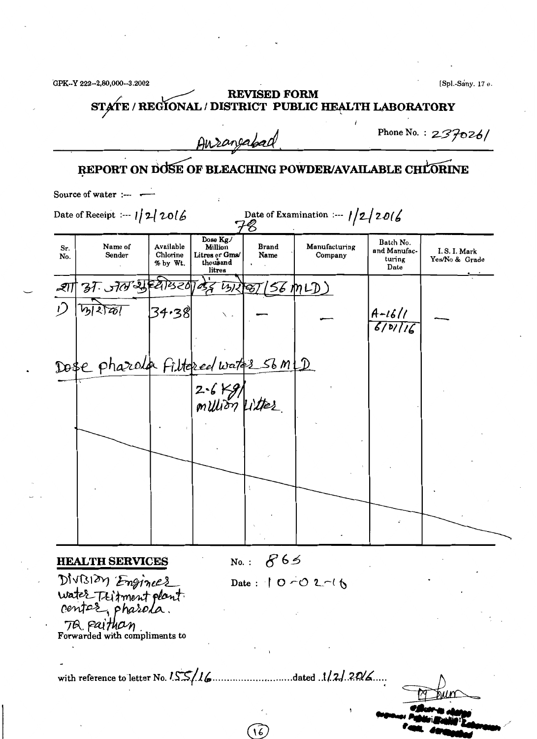|            |                                                                |                                   | Ausangabad                                                   |                      |                                                       |                                             | Phone No.: $237026/$          |
|------------|----------------------------------------------------------------|-----------------------------------|--------------------------------------------------------------|----------------------|-------------------------------------------------------|---------------------------------------------|-------------------------------|
|            |                                                                |                                   |                                                              |                      | REPORT ON DOSE OF BLEACHING POWDER/AVAILABLE CHLORINE |                                             |                               |
|            | Source of water :--- $\leftarrow$                              |                                   |                                                              |                      |                                                       |                                             |                               |
|            | Date of Receipt :--- $1/2/2016$                                |                                   |                                                              |                      | Date of Examination :--- $1/2/2016$                   |                                             |                               |
| Sr.<br>No. | Name of<br>Sender                                              | Available<br>Chlorine<br>% by Wt. | Dose Kg./<br>Million<br>Litres or Gms/<br>thousand<br>litres | <b>Brand</b><br>Name | Manufacturing<br>Company                              | Batch No.<br>and Manufac-<br>turing<br>Date | I.S.I. Mark<br>Yes/No & Grade |
| -হ্যা      | 37.570.99820                                                   |                                   |                                                              | 052 BR 85 (ST MLD)   |                                                       |                                             |                               |
|            |                                                                | 34.38                             |                                                              |                      |                                                       | $\frac{A-16}{1}$                            |                               |
|            |                                                                |                                   |                                                              |                      |                                                       |                                             |                               |
|            | Dose pharola Filtered water Sb m (D)                           |                                   |                                                              |                      |                                                       |                                             |                               |
|            |                                                                |                                   | $2 - 6$ $Kg$ $\mu$                                           |                      |                                                       |                                             |                               |
|            |                                                                |                                   |                                                              |                      |                                                       |                                             |                               |
|            |                                                                |                                   |                                                              |                      |                                                       |                                             |                               |
|            |                                                                |                                   |                                                              |                      |                                                       |                                             |                               |
|            |                                                                |                                   |                                                              |                      |                                                       |                                             |                               |
|            |                                                                |                                   |                                                              |                      |                                                       |                                             |                               |
|            | <b>HEALTH SERVICES</b>                                         |                                   |                                                              | No.: $865$           |                                                       |                                             |                               |
|            | DIVISION Enginees<br>water Teitment plant.<br>center, pharola. |                                   |                                                              |                      | Date: $10-02-16$                                      |                                             |                               |
|            | TQ paithan                                                     |                                   |                                                              |                      |                                                       |                                             |                               |
|            | Forwarded with compliments to                                  |                                   |                                                              |                      |                                                       |                                             |                               |
|            | with reference to letter No. $155/16$                          |                                   |                                                              |                      | dated 1/2/20/6                                        |                                             |                               |

 $\mathcal{L}(\mathcal{L}^{\text{max}})$